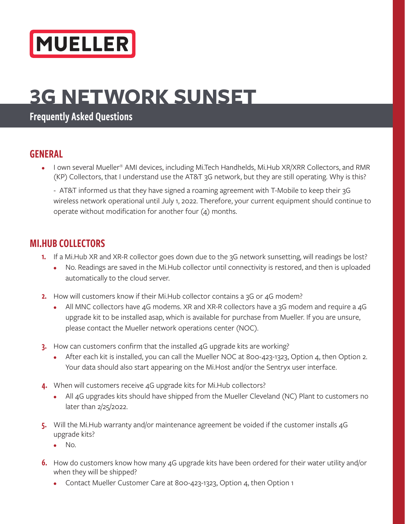# MUELLER

## **3G NETWORK SUNSET**

#### Frequently Asked Questions

#### GENERAL

• I own several Mueller® AMI devices, including Mi.Tech Handhelds, Mi.Hub XR/XRR Collectors, and RMR (KP) Collectors, that I understand use the AT&T 3G network, but they are still operating. Why is this?

- AT&T informed us that they have signed a roaming agreement with T-Mobile to keep their 3G wireless network operational until July 1, 2022. Therefore, your current equipment should continue to operate without modification for another four (4) months.

#### MI.HUB COLLECTORS

- 1. If a Mi.Hub XR and XR-R collector goes down due to the 3G network sunsetting, will readings be lost?
	- No. Readings are saved in the Mi.Hub collector until connectivity is restored, and then is uploaded automatically to the cloud server.
- 2. How will customers know if their Mi.Hub collector contains a 3G or 4G modem?
	- All MNC collectors have 4G modems. XR and XR-R collectors have a 3G modem and require a 4G upgrade kit to be installed asap, which is available for purchase from Mueller. If you are unsure, please contact the Mueller network operations center (NOC).
- 3. How can customers confirm that the installed 4G upgrade kits are working?
	- After each kit is installed, you can call the Mueller NOC at 800-423-1323, Option 4, then Option 2. Your data should also start appearing on the Mi.Host and/or the Sentryx user interface.
- 4. When will customers receive 4G upgrade kits for Mi. Hub collectors?
	- All 4G upgrades kits should have shipped from the Mueller Cleveland (NC) Plant to customers no later than 2/25/2022.
- 5. Will the Mi.Hub warranty and/or maintenance agreement be voided if the customer installs 4G upgrade kits?
	- No.
- 6. How do customers know how many 4G upgrade kits have been ordered for their water utility and/or when they will be shipped?
	- Contact Mueller Customer Care at 800-423-1323, Option 4, then Option 1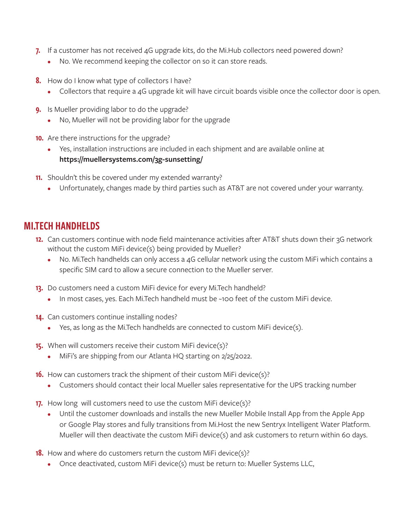- 7. If a customer has not received 4G upgrade kits, do the Mi.Hub collectors need powered down?
	- No. We recommend keeping the collector on so it can store reads.
- 8. How do I know what type of collectors I have?
	- Collectors that require a 4G upgrade kit will have circuit boards visible once the collector door is open.
- **9.** Is Mueller providing labor to do the upgrade?
	- No, Mueller will not be providing labor for the upgrade
- 10. Are there instructions for the upgrade?
	- Yes, installation instructions are included in each shipment and are available online at **https://muellersystems.com/3g-sunsetting/**
- 11. Shouldn't this be covered under my extended warranty?
	- Unfortunately, changes made by third parties such as AT&T are not covered under your warranty.

#### MI.TECH HANDHELDS

- 12. Can customers continue with node field maintenance activities after AT&T shuts down their 3G network without the custom MiFi device(s) being provided by Mueller?
	- No. Mi.Tech handhelds can only access a 4G cellular network using the custom MiFi which contains a specific SIM card to allow a secure connection to the Mueller server.
- 13. Do customers need a custom MiFi device for every Mi.Tech handheld?
	- In most cases, yes. Each Mi. Tech handheld must be ~100 feet of the custom MiFi device.
- 14. Can customers continue installing nodes?
	- Yes, as long as the Mi.Tech handhelds are connected to custom MiFi device(s).
- 15. When will customers receive their custom MiFi device(s)?
	- MiFi's are shipping from our Atlanta HQ starting on 2/25/2022.
- **16.** How can customers track the shipment of their custom MiFi device(s)?
	- Customers should contact their local Mueller sales representative for the UPS tracking number
- 17. How long will customers need to use the custom MiFi device(s)?
	- Until the customer downloads and installs the new Mueller Mobile Install App from the Apple App or Google Play stores and fully transitions from Mi.Host the new Sentryx Intelligent Water Platform. Mueller will then deactivate the custom MiFi device(s) and ask customers to return within 60 days.
- **18.** How and where do customers return the custom MiFi device(s)?
	- Once deactivated, custom MiFi device(s) must be return to: Mueller Systems LLC,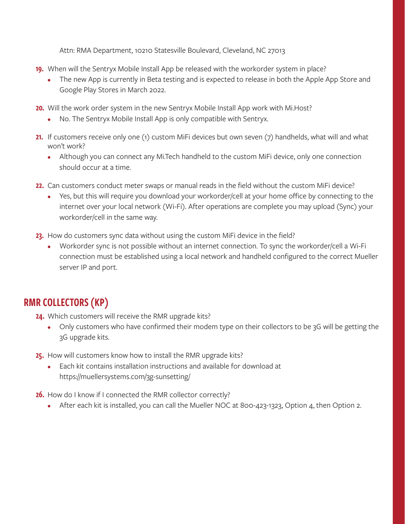Attn: RMA Department, 10210 Statesville Boulevard, Cleveland, NC 27013

- 19. When will the Sentryx Mobile Install App be released with the workorder system in place?
	- The new App is currently in Beta testing and is expected to release in both the Apple App Store and Google Play Stores in March 2022.
- 20. Will the work order system in the new Sentryx Mobile Install App work with Mi.Host?
	- No. The Sentryx Mobile Install App is only compatible with Sentryx.
- 21. If customers receive only one (1) custom MiFi devices but own seven (7) handhelds, what will and what won't work?
	- Although you can connect any Mi.Tech handheld to the custom MiFi device, only one connection should occur at a time.
- 22. Can customers conduct meter swaps or manual reads in the field without the custom MiFi device?
	- Yes, but this will require you download your workorder/cell at your home office by connecting to the internet over your local network (Wi-Fi). After operations are complete you may upload (Sync) your workorder/cell in the same way.
- 23. How do customers sync data without using the custom MiFi device in the field?
	- Workorder sync is not possible without an internet connection. To sync the workorder/cell a Wi-Fi connection must be established using a local network and handheld configured to the correct Mueller server IP and port.

### RMR COLLECTORS (KP)

24. Which customers will receive the RMR upgrade kits?

- Only customers who have confirmed their modem type on their collectors to be 3G will be getting the 3G upgrade kits.
- 25. How will customers know how to install the RMR upgrade kits?
	- Each kit contains installation instructions and available for download at https://muellersystems.com/3g-sunsetting/
- 26. How do I know if I connected the RMR collector correctly?
	- After each kit is installed, you can call the Mueller NOC at 800-423-1323, Option 4, then Option 2.